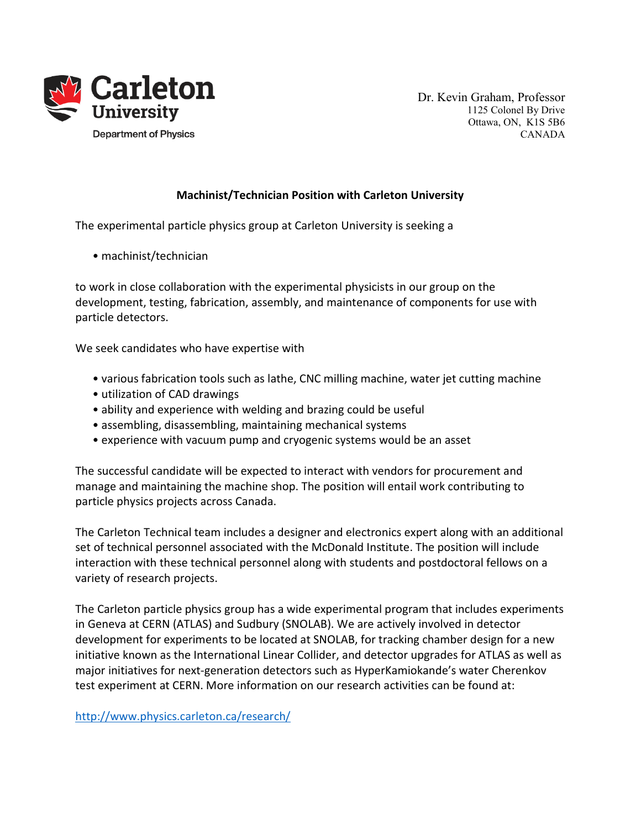

Dr. Kevin Graham, Professor 1125 Colonel By Drive Ottawa, ON, K1S 5B6 CANADA

## Machinist/Technician Position with Carleton University

The experimental particle physics group at Carleton University is seeking a

• machinist/technician

to work in close collaboration with the experimental physicists in our group on the development, testing, fabrication, assembly, and maintenance of components for use with particle detectors.

We seek candidates who have expertise with

- various fabrication tools such as lathe, CNC milling machine, water jet cutting machine
- utilization of CAD drawings
- ability and experience with welding and brazing could be useful
- assembling, disassembling, maintaining mechanical systems
- experience with vacuum pump and cryogenic systems would be an asset

The successful candidate will be expected to interact with vendors for procurement and manage and maintaining the machine shop. The position will entail work contributing to particle physics projects across Canada.

The Carleton Technical team includes a designer and electronics expert along with an additional set of technical personnel associated with the McDonald Institute. The position will include interaction with these technical personnel along with students and postdoctoral fellows on a variety of research projects.

The Carleton particle physics group has a wide experimental program that includes experiments in Geneva at CERN (ATLAS) and Sudbury (SNOLAB). We are actively involved in detector development for experiments to be located at SNOLAB, for tracking chamber design for a new initiative known as the International Linear Collider, and detector upgrades for ATLAS as well as major initiatives for next-generation detectors such as HyperKamiokande's water Cherenkov test experiment at CERN. More information on our research activities can be found at:

http://www.physics.carleton.ca/research/